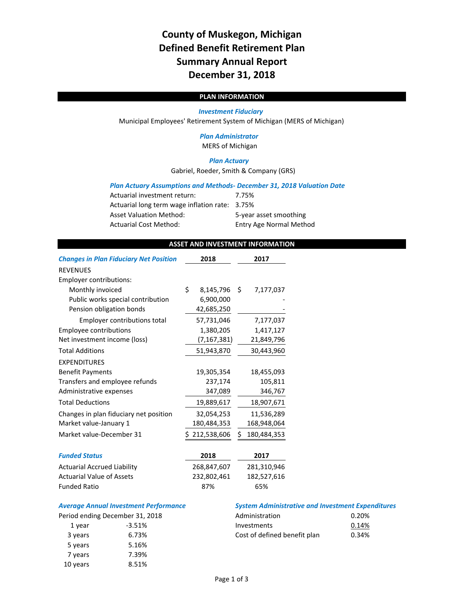# **County of Muskegon, Michigan Defined Benefit Retirement Plan Summary Annual Report December 31, 2018**

## **PLAN INFORMATION**

#### *Investment Fiduciary*

Municipal Employees' Retirement System of Michigan (MERS of Michigan)

## *Plan Administrator*

MERS of Michigan

## *Plan Actuary*

Gabriel, Roeder, Smith & Company (GRS)

#### *Plan Actuary Assumptions and Methods‐ December 31, 2018 Valuation Date*

| Actuarial investment return:                   | 7.75%                          |
|------------------------------------------------|--------------------------------|
| Actuarial long term wage inflation rate: 3.75% |                                |
| <b>Asset Valuation Method:</b>                 | 5-year asset smoothing         |
| Actuarial Cost Method:                         | <b>Entry Age Normal Method</b> |

### **ASSET AND INVESTMENT INFORMATION**

| <b>Changes in Plan Fiduciary Net Position</b> | 2018            | 2017              |
|-----------------------------------------------|-----------------|-------------------|
| <b>REVENUES</b>                               |                 |                   |
| Employer contributions:                       |                 |                   |
| Monthly invoiced                              | \$<br>8,145,796 | \$<br>7,177,037   |
| Public works special contribution             | 6,900,000       |                   |
| Pension obligation bonds                      | 42,685,250      |                   |
| Employer contributions total                  | 57,731,046      | 7,177,037         |
| <b>Employee contributions</b>                 | 1,380,205       | 1,417,127         |
| Net investment income (loss)                  | (7,167,381)     | 21,849,796        |
| <b>Total Additions</b>                        | 51,943,870      | 30,443,960        |
| <b>EXPENDITURES</b>                           |                 |                   |
| <b>Benefit Payments</b>                       | 19,305,354      | 18,455,093        |
| Transfers and employee refunds                | 237,174         | 105,811           |
| Administrative expenses                       | 347,089         | 346,767           |
| <b>Total Deductions</b>                       | 19,889,617      | 18,907,671        |
| Changes in plan fiduciary net position        | 32,054,253      | 11,536,289        |
| Market value-January 1                        | 180,484,353     | 168,948,064       |
| Market value-December 31                      | \$212,538,606   | \$<br>180,484,353 |
| <b>Funded Status</b>                          | 2018            | 2017              |
| <b>Actuarial Accrued Liability</b>            | 268,847,607     | 281,310,946       |
| <b>Actuarial Value of Assets</b>              | 232,802,461     | 182,527,616       |
| <b>Funded Ratio</b>                           | 87%             | 65%               |

| eriod ending December 31, 20 |          |
|------------------------------|----------|
| 1 year                       | $-3.51%$ |
| 3 years                      | 6.73%    |
| 5 years                      | 5.16%    |
| 7 years                      | 7.39%    |
| 10 years                     | 8.51%    |

#### *Average Annual Investment Performance System Administrative and Investment Expenditures*

|         | Period ending December 31, 2018 | Administration               | 0.20% |
|---------|---------------------------------|------------------------------|-------|
| 1 vear  | -3.51%                          | Investments                  | 0.14% |
| 3 years | 6.73%                           | Cost of defined benefit plan | 0.34% |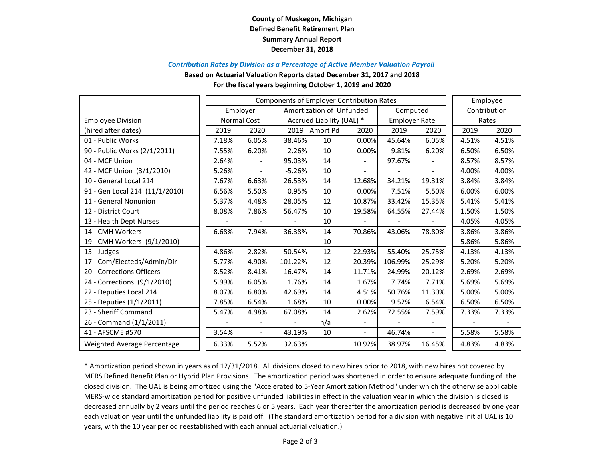## **County of Muskegon, Michigan Defined Benefit Retirement Plan Summary Annual Report December 31, 2018**

### *Contribution Rates by Division as <sup>a</sup> Percentage of Active Member Valuation Payroll*

**Based on Actuarial Valuation Reports dated December 31, 2017 and 2018**

#### **For the fiscal years beginning October 1, 2019 and 2020**

|                                |       | <b>Components of Employer Contribution Rates</b> |                           |                          |                          |                      |        |              | Employee |
|--------------------------------|-------|--------------------------------------------------|---------------------------|--------------------------|--------------------------|----------------------|--------|--------------|----------|
|                                |       | Employer                                         |                           | Amortization of Unfunded |                          | Computed             |        | Contribution |          |
| <b>Employee Division</b>       |       | Normal Cost                                      | Accrued Liability (UAL) * |                          |                          | <b>Employer Rate</b> |        | Rates        |          |
| (hired after dates)            | 2019  | 2020                                             | 2019                      | Amort Pd                 | 2020                     | 2019                 | 2020   | 2019         | 2020     |
| 01 - Public Works              | 7.18% | 6.05%                                            | 38.46%                    | 10                       | 0.00%                    | 45.64%               | 6.05%  | 4.51%        | 4.51%    |
| 90 - Public Works (2/1/2011)   | 7.55% | 6.20%                                            | 2.26%                     | 10                       | 0.00%                    | 9.81%                | 6.20%  | 6.50%        | 6.50%    |
| 04 - MCF Union                 | 2.64% | $\sim$                                           | 95.03%                    | 14                       | $\sim$                   | 97.67%               |        | 8.57%        | 8.57%    |
| 42 - MCF Union (3/1/2010)      | 5.26% |                                                  | $-5.26%$                  | 10                       |                          |                      |        | 4.00%        | 4.00%    |
| 10 - General Local 214         | 7.67% | 6.63%                                            | 26.53%                    | 14                       | 12.68%                   | 34.21%               | 19.31% | 3.84%        | 3.84%    |
| 91 - Gen Local 214 (11/1/2010) | 6.56% | 5.50%                                            | 0.95%                     | 10                       | 0.00%                    | 7.51%                | 5.50%  | 6.00%        | 6.00%    |
| 11 - General Nonunion          | 5.37% | 4.48%                                            | 28.05%                    | 12                       | 10.87%                   | 33.42%               | 15.35% | 5.41%        | 5.41%    |
| 12 - District Court            | 8.08% | 7.86%                                            | 56.47%                    | 10                       | 19.58%                   | 64.55%               | 27.44% | 1.50%        | 1.50%    |
| 13 - Health Dept Nurses        |       |                                                  |                           | 10                       |                          |                      |        | 4.05%        | 4.05%    |
| 14 - CMH Workers               | 6.68% | 7.94%                                            | 36.38%                    | 14                       | 70.86%                   | 43.06%               | 78.80% | 3.86%        | 3.86%    |
| 19 - CMH Workers (9/1/2010)    |       |                                                  |                           | 10                       |                          |                      |        | 5.86%        | 5.86%    |
| 15 - Judges                    | 4.86% | 2.82%                                            | 50.54%                    | 12                       | 22.93%                   | 55.40%               | 25.75% | 4.13%        | 4.13%    |
| 17 - Com/Electeds/Admin/Dir    | 5.77% | 4.90%                                            | 101.22%                   | 12                       | 20.39%                   | 106.99%              | 25.29% | 5.20%        | 5.20%    |
| 20 - Corrections Officers      | 8.52% | 8.41%                                            | 16.47%                    | 14                       | 11.71%                   | 24.99%               | 20.12% | 2.69%        | 2.69%    |
| 24 - Corrections (9/1/2010)    | 5.99% | 6.05%                                            | 1.76%                     | 14                       | 1.67%                    | 7.74%                | 7.71%  | 5.69%        | 5.69%    |
| 22 - Deputies Local 214        | 8.07% | 6.80%                                            | 42.69%                    | 14                       | 4.51%                    | 50.76%               | 11.30% | 5.00%        | 5.00%    |
| 25 - Deputies (1/1/2011)       | 7.85% | 6.54%                                            | 1.68%                     | 10                       | 0.00%                    | 9.52%                | 6.54%  | 6.50%        | 6.50%    |
| 23 - Sheriff Command           | 5.47% | 4.98%                                            | 67.08%                    | 14                       | 2.62%                    | 72.55%               | 7.59%  | 7.33%        | 7.33%    |
| 26 - Command (1/1/2011)        |       |                                                  | $\overline{\phantom{a}}$  | n/a                      | $\overline{\phantom{a}}$ |                      |        |              |          |
| 41 - AFSCME #570               | 3.54% | $\sim$                                           | 43.19%                    | 10                       | $\overline{\phantom{a}}$ | 46.74%               | $\sim$ | 5.58%        | 5.58%    |
| Weighted Average Percentage    | 6.33% | 5.52%                                            | 32.63%                    |                          | 10.92%                   | 38.97%               | 16.45% | 4.83%        | 4.83%    |

\* Amortization period shown in years as of 12/31/2018. All divisions closed to new hires prior to 2018, with new hires not covered by MERS Defined Benefit Plan or Hybrid Plan Provisions. The amortization period was shortened in order to ensure adequate funding of the closed division. The UAL is being amortized using the "Accelerated to 5‐Year Amortization Method" under which the otherwise applicable MERS‐wide standard amortization period for positive unfunded liabilities in effect in the valuation year in which the division is closed is decreased annually by 2 years until the period reaches 6 or 5 years. Each year thereafter the amortization period is decreased by one year each valuation year until the unfunded liability is paid off. (The standard amortization period for <sup>a</sup> division with negative initial UAL is 10 years, with the 10 year period reestablished with each annual actuarial valuation.)